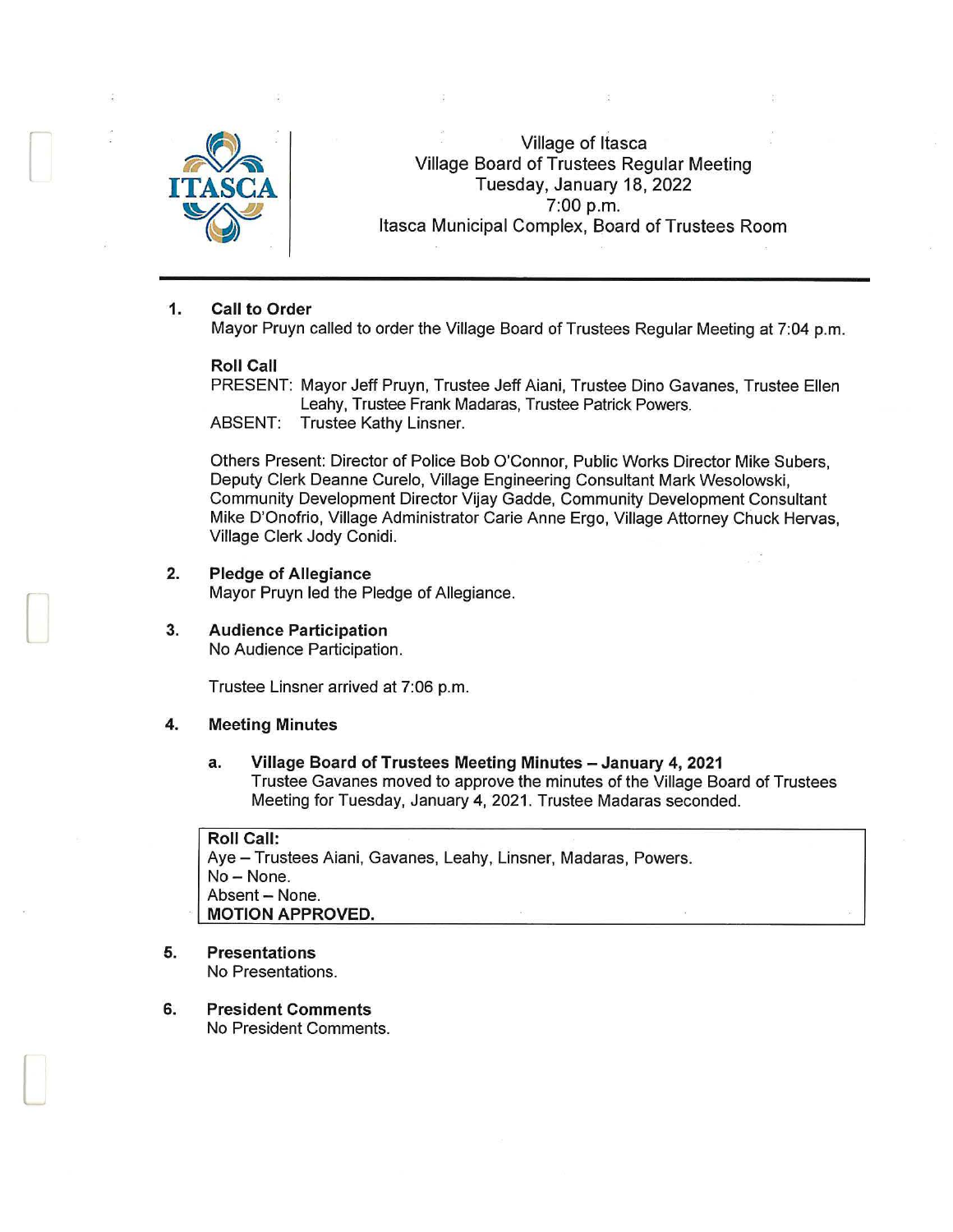

r

 $\begin{bmatrix} \phantom{-} \end{bmatrix}$ 

 $\Box$ 

Village of Itasca Village Board of Trustees Regular Meeting Tuesday, January 18, 2022 ~ 7:00 p.m. Itasca Municipal Complex, Board of Trustees Room

#### 1. Call to Order

Mayor Pruyn called to order the Village Board of Trustees Regular Meeting at 7:04 p.m.

#### Roll Call

PRESENT: Mayor Jeff Pruyn, Trustee Jeff Aiani, Trustee Dino Gavanes, Trustee Ellen Leahy, Trustee Frank Madaras, Trustee Patrick Powers. ABSENT: Trustee Kathy Linsner.

Others Present: Director of Police Bob O'Connor, Public Works Director Mike Subers, Deputy Clerk Deanne Curelo, Village Engineering Consultant Mark Wesolowski, Community Development Director Vijay Gadde, Community Development Consultant Mike D'Onofrio, Village Administrator Carie Anne Ergo, Village Attorney Chuck Hervas, Village Clerk Jody Conidi.

- 2. Pledge of Allegiance Mayor Pruyn led the Pledge of Allegiance.
- 3. Audience Participation No Audience Participation.

Trustee Linsner arrived at 7:06 p.m.

#### 4. Meeting Minutes

#### a. Village Board of Trustees Meeting Minutes - January 4, 2021 Trustee Gavanes moved to approve the minutes of the Village Board of Trustees Meeting for Tuesday, January 4, 2021. Trustee Madaras seconded.

## Roll Call:

Aye - Trustees Aiani, Gavanes, Leahy, Linsner, Madaras, Powers. No-None. Absent - None. MOTION APPROVED.

- 5. Presentations No Presentations.
- 6. President Comments No President Comments.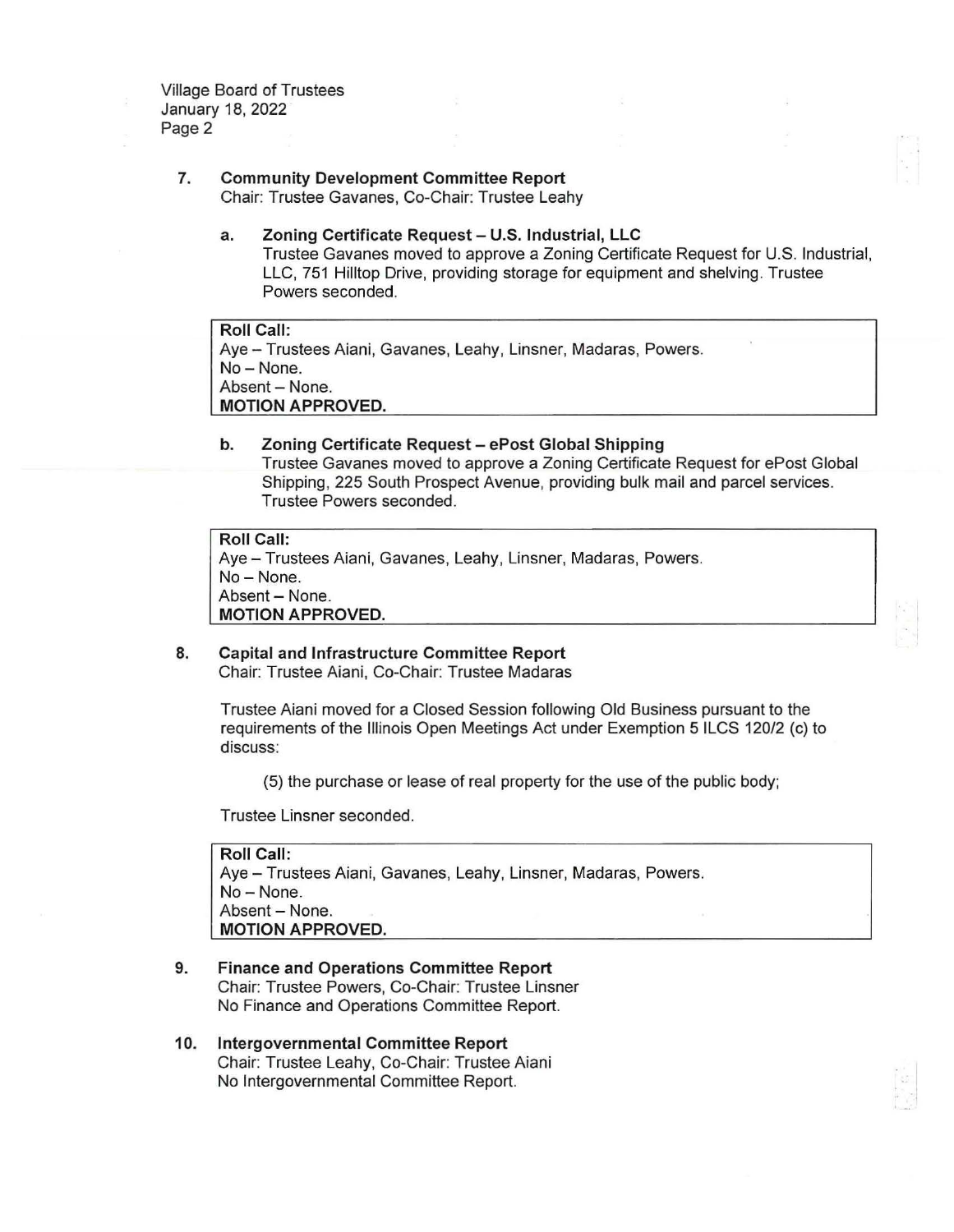Village Board of Trustees January 18, 2022 Page 2

# **7. Community Development Committee Report**

Chair: Trustee Gavanes, Co-Chair: Trustee Leahy

**a. Zoning Certificate Request - U.S. Industrial, LLC**  Trustee Gavanes moved to approve a Zoning Certificate Request for U.S. Industrial, LLC, 751 Hilltop Drive, providing storage for equipment and shelving. Trustee Powers seconded.

**Roll Call:**  Aye- Trustees Aiani, Gavanes, Leahy, Linsner, Madaras, Powers. No-None. Absent - None. **MOTION APPROVED.** 

**b. Zoning Certificate Request - ePost Global Shipping**  Trustee Gavanes moved to approve a Zoning Certificate Request for ePost Global Shipping, 225 South Prospect Avenue, providing bulk mail and parcel services. Trustee Powers seconded.

```
Roll Call: 
Aye- Trustees Aiani, Gavanes, Leahy, Linsner, Madaras, Powers. 
No- None. 
Absent - None.
MOTION APPROVED.
```
### **8. Capital and Infrastructure Committee Report**  Chair: Trustee Aiani, Co-Chair: Trustee Madaras

Trustee Aiani moved for a Closed Session following Old Business pursuant to the requirements of the Illinois Open Meetings Act under Exemption 5 ILCS 120/2 (c) to discuss:

(5) the purchase or lease of real property for the use of the public body;

Trustee Linsner seconded.

**Roll Call:**  Aye - Trustees Aiani, Gavanes, Leahy, Linsner, Madaras, Powers. No - None. Absent - None. **MOTION APPROVED.** 

- **9. Finance and Operations Committee Report**  Chair: Trustee Powers, Co-Chair: Trustee Linsner No Finance and Operations Committee Report.
- **10. Intergovernmental Committee Report**  Chair: Trustee Leahy, Co-Chair: Trustee Aiani No Intergovernmental Committee Report.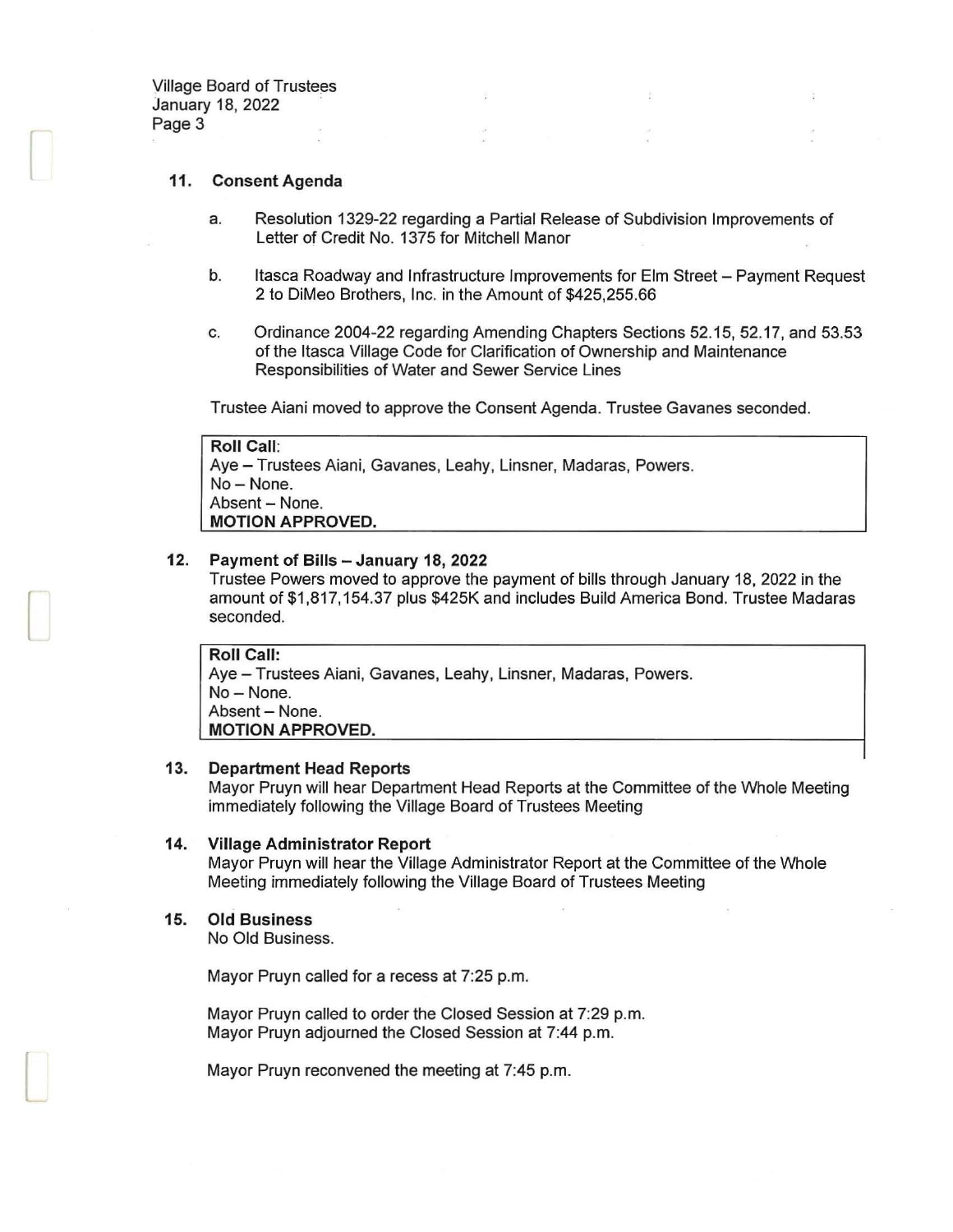Village Board of Trustees January 18, 2022 Page 3

 $\Box$ 

L

#### 11. Consent Agenda

- a. Resolution 1329-22 regarding a Partial Release of Subdivision Improvements of Letter of Credit No. 1375 for Mitchell Manor
- b. Itasca Roadway and Infrastructure Improvements for Elm Street Payment Request 2 to DiMeo Brothers, Inc. in the Amount of \$425,255.66
- c. Ordinance 2004-22 regarding Amending Chapters Sections 52.15, 52.17, and 53.53 of the Itasca Village Code for Clarification of Ownership and Maintenance Responsibilities of Water and Sewer Service Lines

Trustee Aiani moved to approve the Consent Agenda. Trustee Gavanes seconded.

Roll Call: Aye- Trustees Aiani, Gavanes, Leahy, Linsner, Madaras, Powers. No-None. Absent - None. MOTION APPROVED.

#### 12. Payment of Bills - January 18, 2022

Trustee Powers moved to approve the payment of bills through January 18, 2022 in the amount of \$1,817, 154.37 plus \$425K and includes Build America Bond. Trustee Madaras seconded.

Roll Call: Aye- Trustees Aiani, Gavanes, Leahy, Linsner, Madaras, Powers. No-None. Absent- None. MOTION APPROVED.

#### 13. Department Head Reports

Mayor Pruyn will hear Department Head Reports at the Committee of the Whole Meeting immediately following the Village Board of Trustees Meeting

#### 14. Village Administrator Report

Mayor Pruyn will hear the Village Administrator Report at the Committee of the Whole Meeting immediately following the Village Board of Trustees Meeting

#### 15. Old Business

No Old Business.

Mayor Pruyn called for a recess at 7:25 p.m.

Mayor Pruyn called to order the Closed Session at 7:29 p.m. Mayor Pruyn adjourned the Closed Session at 7:44 p.m.

Mayor Pruyn reconvened the meeting at 7:45 p.m.